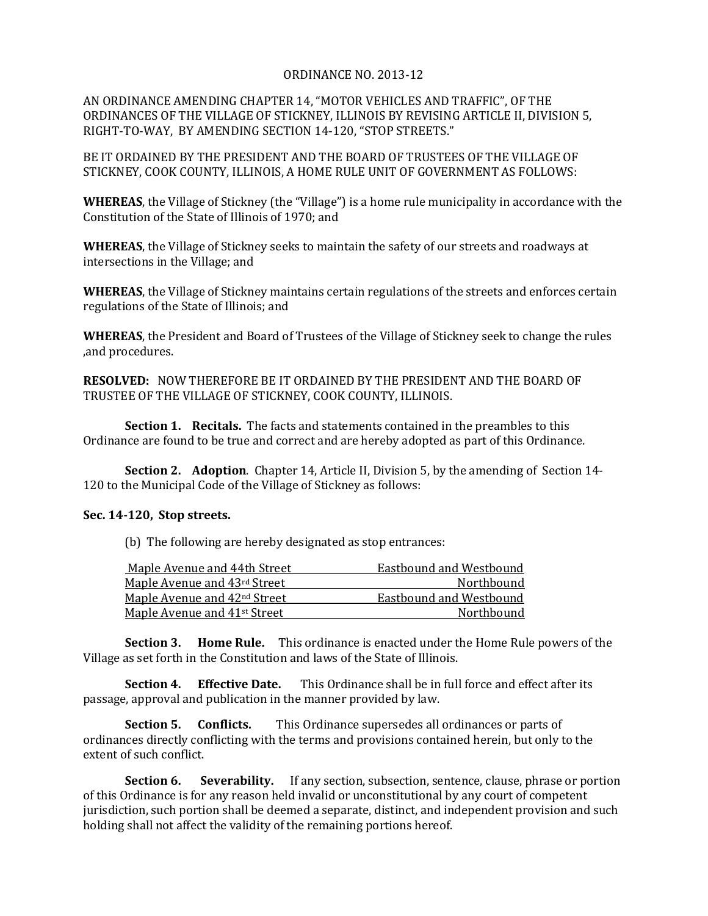## ORDINANCE NO. 2013-12

AN ORDINANCE AMENDING CHAPTER 14, "MOTOR VEHICLES AND TRAFFIC", OF THE ORDINANCES OF THE VILLAGE OF STICKNEY, ILLINOIS BY REVISING ARTICLE II, DIVISION 5, RIGHT-TO-WAY, BY AMENDING SECTION 14-120, "STOP STREETS."

BE IT ORDAINED BY THE PRESIDENT AND THE BOARD OF TRUSTEES OF THE VILLAGE OF STICKNEY, COOK COUNTY, ILLINOIS, A HOME RULE UNIT OF GOVERNMENT AS FOLLOWS:

**WHEREAS**, the Village of Stickney (the "Village") is a home rule municipality in accordance with the Constitution of the State of Illinois of 1970; and

**WHEREAS**, the Village of Stickney seeks to maintain the safety of our streets and roadways at intersections in the Village; and

**WHEREAS**, the Village of Stickney maintains certain regulations of the streets and enforces certain regulations of the State of Illinois; and

**WHEREAS**, the President and Board of Trustees of the Village of Stickney seek to change the rules ,and procedures.

**RESOLVED:** NOW THEREFORE BE IT ORDAINED BY THE PRESIDENT AND THE BOARD OF TRUSTEE OF THE VILLAGE OF STICKNEY, COOK COUNTY, ILLINOIS.

**Section 1. Recitals.** The facts and statements contained in the preambles to this Ordinance are found to be true and correct and are hereby adopted as part of this Ordinance.

**Section 2. Adoption**. Chapter 14, Article II, Division 5, by the amending of Section 14- 120 to the Municipal Code of the Village of Stickney as follows:

## **Sec. 14-120, Stop streets.**

(b) The following are hereby designated as stop entrances:

| Maple Avenue and 44th Street             | Eastbound and Westbound |
|------------------------------------------|-------------------------|
| Maple Avenue and 43rd Street             | Northbound              |
| Maple Avenue and 42 <sup>nd</sup> Street | Eastbound and Westbound |
| Maple Avenue and 41 <sup>st</sup> Street | Northbound              |

**Section 3. Home Rule.** This ordinance is enacted under the Home Rule powers of the Village as set forth in the Constitution and laws of the State of Illinois.

**Section 4. Effective Date.** This Ordinance shall be in full force and effect after its passage, approval and publication in the manner provided by law.

**Section 5. Conflicts.** This Ordinance supersedes all ordinances or parts of ordinances directly conflicting with the terms and provisions contained herein, but only to the extent of such conflict.

**Section 6.** Severability. If any section, subsection, sentence, clause, phrase or portion of this Ordinance is for any reason held invalid or unconstitutional by any court of competent jurisdiction, such portion shall be deemed a separate, distinct, and independent provision and such holding shall not affect the validity of the remaining portions hereof.